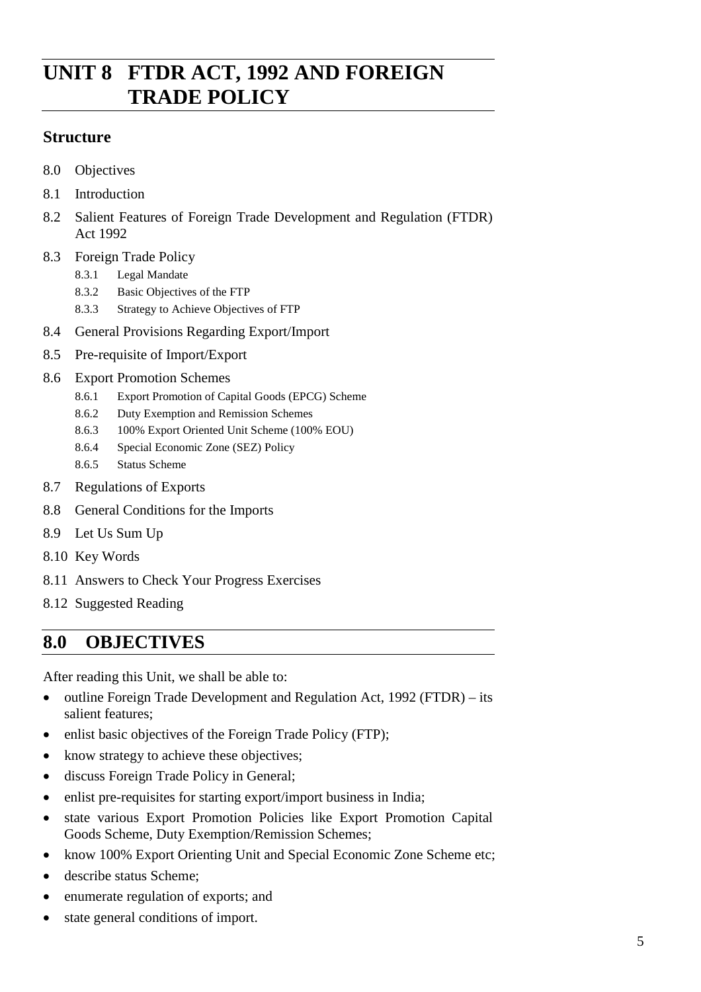## **UNIT 8 FTDR ACT, 1992 AND FOREIGN TRADE POLICY**

### **Structure**

- 8.0 Objectives
- 8.1 Introduction
- 8.2 Salient Features of Foreign Trade Development and Regulation (FTDR) Act 1992
- 8.3 Foreign Trade Policy
	- 8.3.1 Legal Mandate
	- 8.3.2 Basic Objectives of the FTP
	- 8.3.3 Strategy to Achieve Objectives of FTP
- 8.4 General Provisions Regarding Export/Import
- 8.5 Pre-requisite of Import/Export
- 8.6 Export Promotion Schemes
	- 8.6.1 Export Promotion of Capital Goods (EPCG) Scheme
	- 8.6.2 Duty Exemption and Remission Schemes
	- 8.6.3 100% Export Oriented Unit Scheme (100% EOU)
	- 8.6.4 Special Economic Zone (SEZ) Policy
	- 8.6.5 Status Scheme
- 8.7 Regulations of Exports
- 8.8 General Conditions for the Imports
- 8.9 Let Us Sum Up
- 8.10 Key Words
- 8.11 Answers to Check Your Progress Exercises
- 8.12 Suggested Reading

## **8.0 OBJECTIVES**

After reading this Unit, we shall be able to:

- outline Foreign Trade Development and Regulation Act, 1992 (FTDR) its salient features;
- enlist basic objectives of the Foreign Trade Policy (FTP);
- know strategy to achieve these objectives;
- discuss Foreign Trade Policy in General;
- enlist pre-requisites for starting export/import business in India;
- state various Export Promotion Policies like Export Promotion Capital Goods Scheme, Duty Exemption/Remission Schemes;
- know 100% Export Orienting Unit and Special Economic Zone Scheme etc;
- describe status Scheme;
- enumerate regulation of exports; and
- state general conditions of import.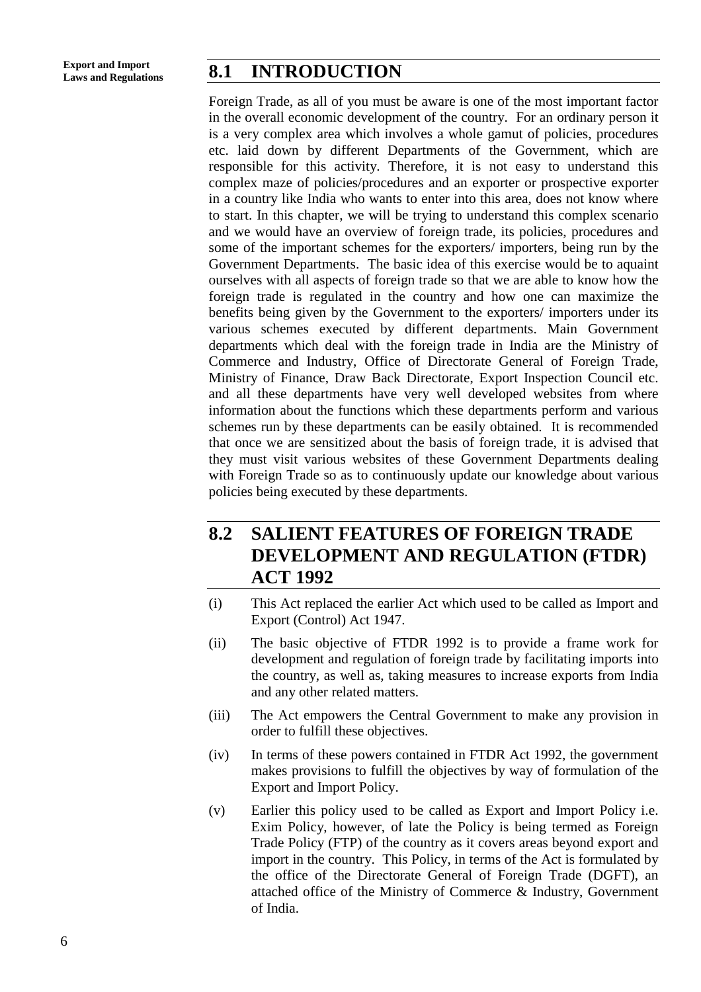## **Laws and Regulations 8.1 INTRODUCTION**

Foreign Trade, as all of you must be aware is one of the most important factor in the overall economic development of the country. For an ordinary person it is a very complex area which involves a whole gamut of policies, procedures etc. laid down by different Departments of the Government, which are responsible for this activity. Therefore, it is not easy to understand this complex maze of policies/procedures and an exporter or prospective exporter in a country like India who wants to enter into this area, does not know where to start. In this chapter, we will be trying to understand this complex scenario and we would have an overview of foreign trade, its policies, procedures and some of the important schemes for the exporters/ importers, being run by the Government Departments. The basic idea of this exercise would be to aquaint ourselves with all aspects of foreign trade so that we are able to know how the foreign trade is regulated in the country and how one can maximize the benefits being given by the Government to the exporters/ importers under its various schemes executed by different departments. Main Government departments which deal with the foreign trade in India are the Ministry of Commerce and Industry, Office of Directorate General of Foreign Trade, Ministry of Finance, Draw Back Directorate, Export Inspection Council etc. and all these departments have very well developed websites from where information about the functions which these departments perform and various schemes run by these departments can be easily obtained. It is recommended that once we are sensitized about the basis of foreign trade, it is advised that they must visit various websites of these Government Departments dealing with Foreign Trade so as to continuously update our knowledge about various policies being executed by these departments.

## **8.2 SALIENT FEATURES OF FOREIGN TRADE DEVELOPMENT AND REGULATION (FTDR) ACT 1992**

- (i) This Act replaced the earlier Act which used to be called as Import and Export (Control) Act 1947.
- (ii) The basic objective of FTDR 1992 is to provide a frame work for development and regulation of foreign trade by facilitating imports into the country, as well as, taking measures to increase exports from India and any other related matters.
- (iii) The Act empowers the Central Government to make any provision in order to fulfill these objectives.
- (iv) In terms of these powers contained in FTDR Act 1992, the government makes provisions to fulfill the objectives by way of formulation of the Export and Import Policy.
- (v) Earlier this policy used to be called as Export and Import Policy i.e. Exim Policy, however, of late the Policy is being termed as Foreign Trade Policy (FTP) of the country as it covers areas beyond export and import in the country. This Policy, in terms of the Act is formulated by the office of the Directorate General of Foreign Trade (DGFT), an attached office of the Ministry of Commerce & Industry, Government of India.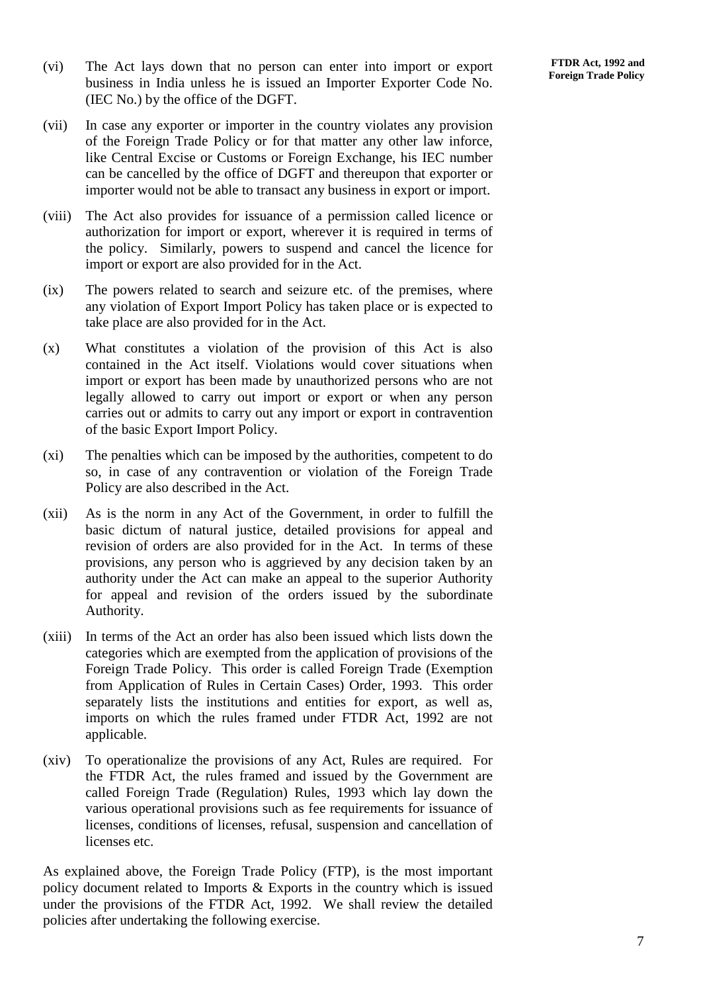- (vi) The Act lays down that no person can enter into import or export business in India unless he is issued an Importer Exporter Code No. (IEC No.) by the office of the DGFT.
- (vii) In case any exporter or importer in the country violates any provision of the Foreign Trade Policy or for that matter any other law inforce, like Central Excise or Customs or Foreign Exchange, his IEC number can be cancelled by the office of DGFT and thereupon that exporter or importer would not be able to transact any business in export or import.
- (viii) The Act also provides for issuance of a permission called licence or authorization for import or export, wherever it is required in terms of the policy. Similarly, powers to suspend and cancel the licence for import or export are also provided for in the Act.
- (ix) The powers related to search and seizure etc. of the premises, where any violation of Export Import Policy has taken place or is expected to take place are also provided for in the Act.
- (x) What constitutes a violation of the provision of this Act is also contained in the Act itself. Violations would cover situations when import or export has been made by unauthorized persons who are not legally allowed to carry out import or export or when any person carries out or admits to carry out any import or export in contravention of the basic Export Import Policy.
- (xi) The penalties which can be imposed by the authorities, competent to do so, in case of any contravention or violation of the Foreign Trade Policy are also described in the Act.
- (xii) As is the norm in any Act of the Government, in order to fulfill the basic dictum of natural justice, detailed provisions for appeal and revision of orders are also provided for in the Act. In terms of these provisions, any person who is aggrieved by any decision taken by an authority under the Act can make an appeal to the superior Authority for appeal and revision of the orders issued by the subordinate Authority.
- (xiii) In terms of the Act an order has also been issued which lists down the categories which are exempted from the application of provisions of the Foreign Trade Policy. This order is called Foreign Trade (Exemption from Application of Rules in Certain Cases) Order, 1993. This order separately lists the institutions and entities for export, as well as, imports on which the rules framed under FTDR Act, 1992 are not applicable.
- (xiv) To operationalize the provisions of any Act, Rules are required. For the FTDR Act, the rules framed and issued by the Government are called Foreign Trade (Regulation) Rules, 1993 which lay down the various operational provisions such as fee requirements for issuance of licenses, conditions of licenses, refusal, suspension and cancellation of licenses etc.

As explained above, the Foreign Trade Policy (FTP), is the most important policy document related to Imports & Exports in the country which is issued under the provisions of the FTDR Act, 1992. We shall review the detailed policies after undertaking the following exercise.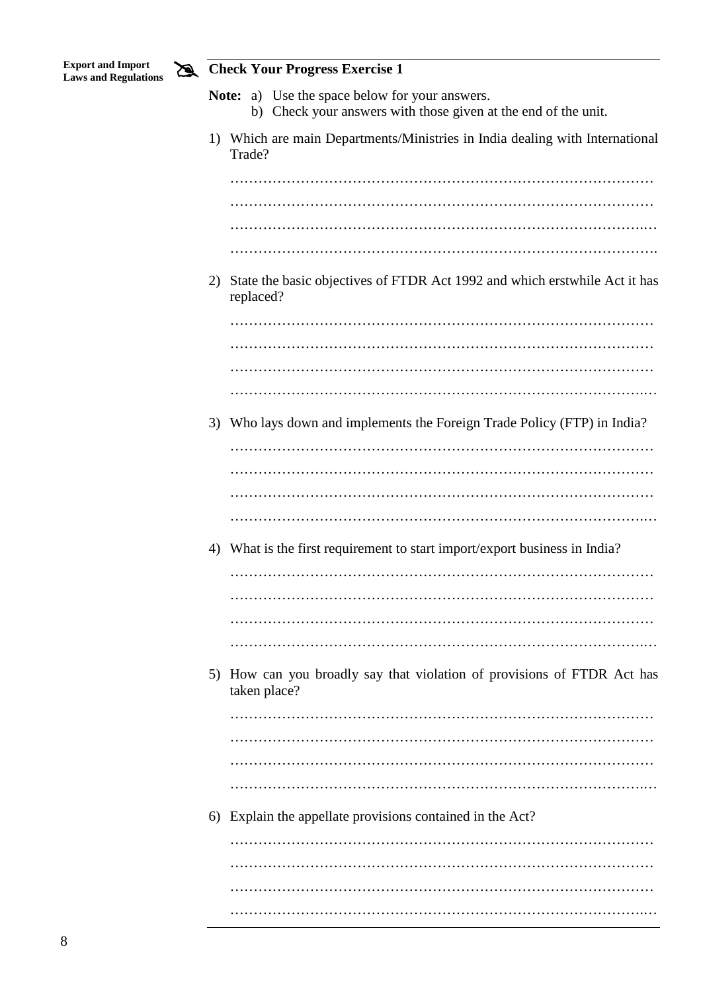

# **Check Your Progress Exercise 1**

|    | 1) Which are main Departments/Ministries in India dealing with International            |  |  |  |  |  |  |
|----|-----------------------------------------------------------------------------------------|--|--|--|--|--|--|
|    | Trade?                                                                                  |  |  |  |  |  |  |
|    |                                                                                         |  |  |  |  |  |  |
|    |                                                                                         |  |  |  |  |  |  |
|    |                                                                                         |  |  |  |  |  |  |
|    |                                                                                         |  |  |  |  |  |  |
| 2) | State the basic objectives of FTDR Act 1992 and which erstwhile Act it has<br>replaced? |  |  |  |  |  |  |
|    |                                                                                         |  |  |  |  |  |  |
|    |                                                                                         |  |  |  |  |  |  |
|    |                                                                                         |  |  |  |  |  |  |
|    |                                                                                         |  |  |  |  |  |  |
|    |                                                                                         |  |  |  |  |  |  |
|    | 3) Who lays down and implements the Foreign Trade Policy (FTP) in India?                |  |  |  |  |  |  |
|    |                                                                                         |  |  |  |  |  |  |
|    |                                                                                         |  |  |  |  |  |  |
|    |                                                                                         |  |  |  |  |  |  |
|    |                                                                                         |  |  |  |  |  |  |
|    | 4) What is the first requirement to start import/export business in India?              |  |  |  |  |  |  |
|    |                                                                                         |  |  |  |  |  |  |
|    |                                                                                         |  |  |  |  |  |  |
|    |                                                                                         |  |  |  |  |  |  |
|    |                                                                                         |  |  |  |  |  |  |
|    |                                                                                         |  |  |  |  |  |  |
|    | 5) How can you broadly say that violation of provisions of FTDR Act has<br>taken place? |  |  |  |  |  |  |
|    |                                                                                         |  |  |  |  |  |  |
|    |                                                                                         |  |  |  |  |  |  |
|    |                                                                                         |  |  |  |  |  |  |
|    |                                                                                         |  |  |  |  |  |  |
|    | 6) Explain the appellate provisions contained in the Act?                               |  |  |  |  |  |  |
|    |                                                                                         |  |  |  |  |  |  |
|    |                                                                                         |  |  |  |  |  |  |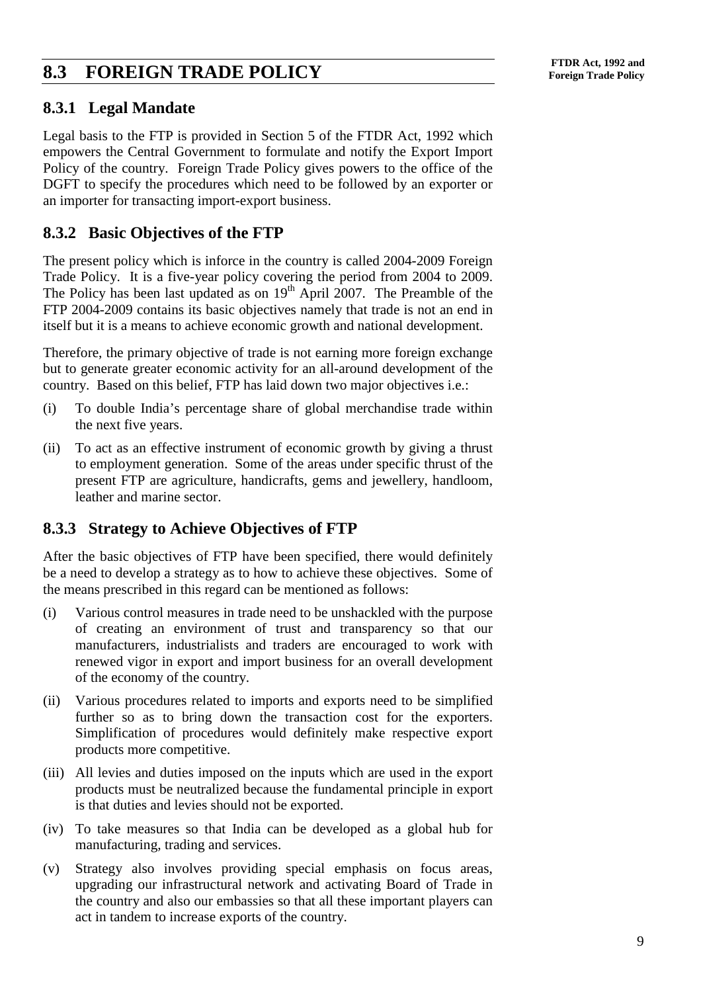## **FTDR Act, 1992 and**<br> **FOREIGN TRADE POLICY** Foreign Trade Policy

#### **8.3.1 Legal Mandate**

Legal basis to the FTP is provided in Section 5 of the FTDR Act, 1992 which empowers the Central Government to formulate and notify the Export Import Policy of the country. Foreign Trade Policy gives powers to the office of the DGFT to specify the procedures which need to be followed by an exporter or an importer for transacting import-export business.

#### **8.3.2 Basic Objectives of the FTP**

The present policy which is inforce in the country is called 2004-2009 Foreign Trade Policy. It is a five-year policy covering the period from 2004 to 2009. The Policy has been last updated as on  $19<sup>th</sup>$  April 2007. The Preamble of the FTP 2004-2009 contains its basic objectives namely that trade is not an end in itself but it is a means to achieve economic growth and national development.

Therefore, the primary objective of trade is not earning more foreign exchange but to generate greater economic activity for an all-around development of the country. Based on this belief, FTP has laid down two major objectives i.e.:

- (i) To double India's percentage share of global merchandise trade within the next five years.
- (ii) To act as an effective instrument of economic growth by giving a thrust to employment generation. Some of the areas under specific thrust of the present FTP are agriculture, handicrafts, gems and jewellery, handloom, leather and marine sector.

#### **8.3.3 Strategy to Achieve Objectives of FTP**

After the basic objectives of FTP have been specified, there would definitely be a need to develop a strategy as to how to achieve these objectives. Some of the means prescribed in this regard can be mentioned as follows:

- (i) Various control measures in trade need to be unshackled with the purpose of creating an environment of trust and transparency so that our manufacturers, industrialists and traders are encouraged to work with renewed vigor in export and import business for an overall development of the economy of the country.
- (ii) Various procedures related to imports and exports need to be simplified further so as to bring down the transaction cost for the exporters. Simplification of procedures would definitely make respective export products more competitive.
- (iii) All levies and duties imposed on the inputs which are used in the export products must be neutralized because the fundamental principle in export is that duties and levies should not be exported.
- (iv) To take measures so that India can be developed as a global hub for manufacturing, trading and services.
- (v) Strategy also involves providing special emphasis on focus areas, upgrading our infrastructural network and activating Board of Trade in the country and also our embassies so that all these important players can act in tandem to increase exports of the country.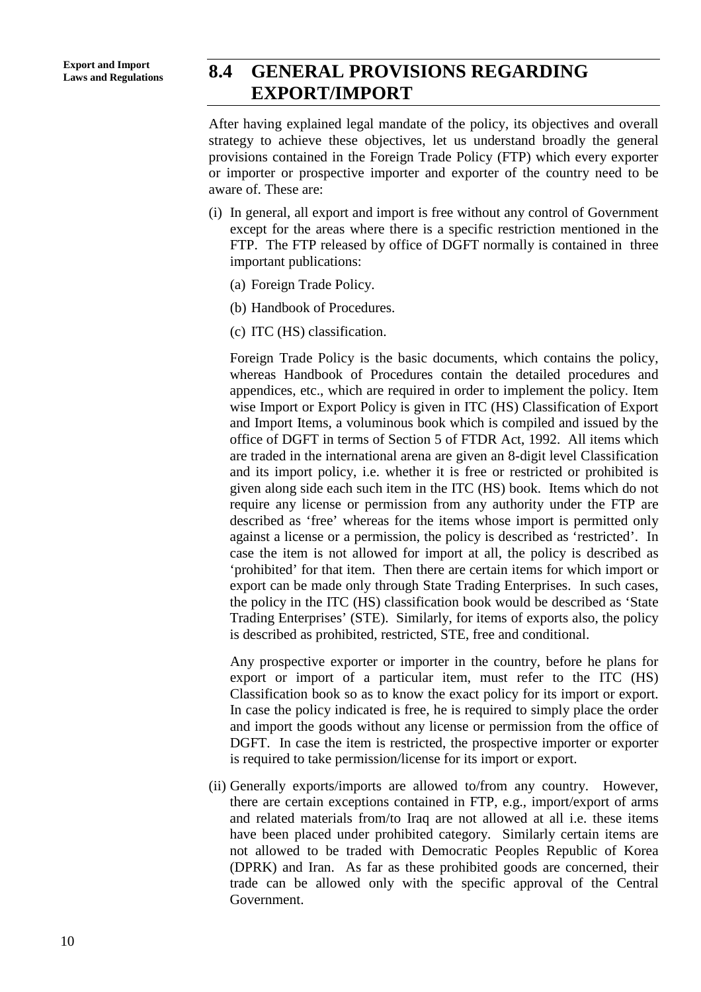## **Laws and Regulations 8.4 GENERAL PROVISIONS REGARDING EXPORT/IMPORT**

After having explained legal mandate of the policy, its objectives and overall strategy to achieve these objectives, let us understand broadly the general provisions contained in the Foreign Trade Policy (FTP) which every exporter or importer or prospective importer and exporter of the country need to be aware of. These are:

- (i) In general, all export and import is free without any control of Government except for the areas where there is a specific restriction mentioned in the FTP. The FTP released by office of DGFT normally is contained in three important publications:
	- (a) Foreign Trade Policy.
	- (b) Handbook of Procedures.
	- (c) ITC (HS) classification.

Foreign Trade Policy is the basic documents, which contains the policy, whereas Handbook of Procedures contain the detailed procedures and appendices, etc., which are required in order to implement the policy. Item wise Import or Export Policy is given in ITC (HS) Classification of Export and Import Items, a voluminous book which is compiled and issued by the office of DGFT in terms of Section 5 of FTDR Act, 1992. All items which are traded in the international arena are given an 8-digit level Classification and its import policy, i.e. whether it is free or restricted or prohibited is given along side each such item in the ITC (HS) book. Items which do not require any license or permission from any authority under the FTP are described as 'free' whereas for the items whose import is permitted only against a license or a permission, the policy is described as 'restricted'. In case the item is not allowed for import at all, the policy is described as 'prohibited' for that item. Then there are certain items for which import or export can be made only through State Trading Enterprises. In such cases, the policy in the ITC (HS) classification book would be described as 'State Trading Enterprises' (STE). Similarly, for items of exports also, the policy is described as prohibited, restricted, STE, free and conditional.

Any prospective exporter or importer in the country, before he plans for export or import of a particular item, must refer to the ITC (HS) Classification book so as to know the exact policy for its import or export. In case the policy indicated is free, he is required to simply place the order and import the goods without any license or permission from the office of DGFT. In case the item is restricted, the prospective importer or exporter is required to take permission/license for its import or export.

(ii) Generally exports/imports are allowed to/from any country. However, there are certain exceptions contained in FTP, e.g., import/export of arms and related materials from/to Iraq are not allowed at all i.e. these items have been placed under prohibited category. Similarly certain items are not allowed to be traded with Democratic Peoples Republic of Korea (DPRK) and Iran. As far as these prohibited goods are concerned, their trade can be allowed only with the specific approval of the Central Government.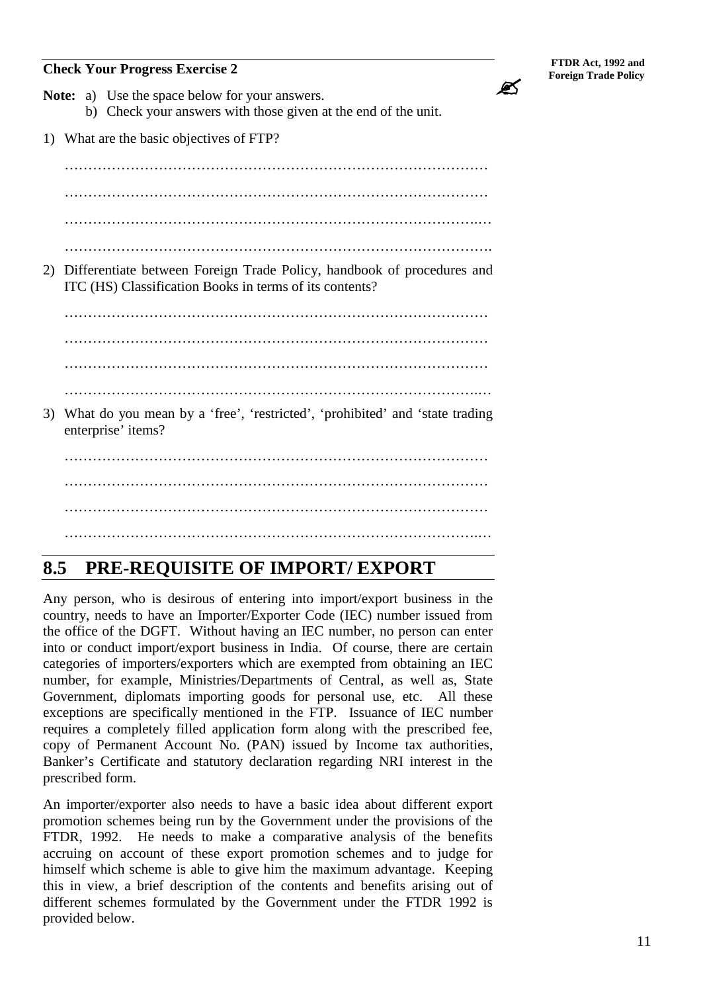### **Formulate Progress Exercise 2**<br>Foreign Trade Policy<br>Foreign Trade Policy

Ø

- **Note:** a) Use the space below for your answers. b) Check your answers with those given at the end of the unit.
- 1) What are the basic objectives of FTP?

 $\mathcal{L}^{(n)}$ ……………………………………………………………………………… …………………………………………………………………………….… ………………………………………………………………………………. 2) Differentiate between Foreign Trade Policy, handbook of procedures and ITC (HS) Classification Books in terms of its contents? ……………………………………………………………………………… ……………………………………………………………………………… ……………………………………………………………………………… …………………………………………………………………………….… 3) What do you mean by a 'free', 'restricted', 'prohibited' and 'state trading enterprise' items? ……………………………………………………………………………… ……………………………………………………………………………… ………………………………………………………………………………  $\mathcal{L}^{\text{max}}_{\text{max}}$ 

## **8.5 PRE-REQUISITE OF IMPORT/ EXPORT**

Any person, who is desirous of entering into import/export business in the country, needs to have an Importer/Exporter Code (IEC) number issued from the office of the DGFT. Without having an IEC number, no person can enter into or conduct import/export business in India. Of course, there are certain categories of importers/exporters which are exempted from obtaining an IEC number, for example, Ministries/Departments of Central, as well as, State Government, diplomats importing goods for personal use, etc. All these exceptions are specifically mentioned in the FTP. Issuance of IEC number requires a completely filled application form along with the prescribed fee, copy of Permanent Account No. (PAN) issued by Income tax authorities, Banker's Certificate and statutory declaration regarding NRI interest in the prescribed form.

An importer/exporter also needs to have a basic idea about different export promotion schemes being run by the Government under the provisions of the FTDR, 1992. He needs to make a comparative analysis of the benefits accruing on account of these export promotion schemes and to judge for himself which scheme is able to give him the maximum advantage. Keeping this in view, a brief description of the contents and benefits arising out of different schemes formulated by the Government under the FTDR 1992 is provided below.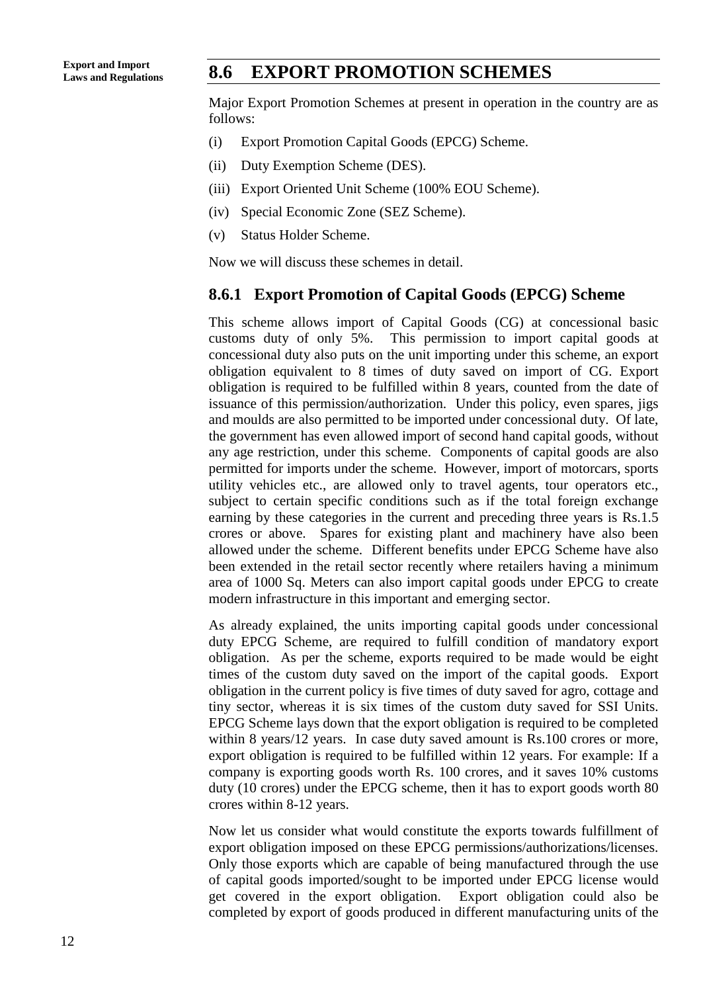## **Laws and Regulations 8.6 EXPORT PROMOTION SCHEMES**

Major Export Promotion Schemes at present in operation in the country are as follows:

- (i) Export Promotion Capital Goods (EPCG) Scheme.
- (ii) Duty Exemption Scheme (DES).
- (iii) Export Oriented Unit Scheme (100% EOU Scheme).
- (iv) Special Economic Zone (SEZ Scheme).
- (v) Status Holder Scheme.

Now we will discuss these schemes in detail.

#### **8.6.1 Export Promotion of Capital Goods (EPCG) Scheme**

This scheme allows import of Capital Goods (CG) at concessional basic customs duty of only 5%. This permission to import capital goods at concessional duty also puts on the unit importing under this scheme, an export obligation equivalent to 8 times of duty saved on import of CG. Export obligation is required to be fulfilled within 8 years, counted from the date of issuance of this permission/authorization. Under this policy, even spares, jigs and moulds are also permitted to be imported under concessional duty. Of late, the government has even allowed import of second hand capital goods, without any age restriction, under this scheme. Components of capital goods are also permitted for imports under the scheme. However, import of motorcars, sports utility vehicles etc., are allowed only to travel agents, tour operators etc., subject to certain specific conditions such as if the total foreign exchange earning by these categories in the current and preceding three years is Rs.1.5 crores or above. Spares for existing plant and machinery have also been allowed under the scheme. Different benefits under EPCG Scheme have also been extended in the retail sector recently where retailers having a minimum area of 1000 Sq. Meters can also import capital goods under EPCG to create modern infrastructure in this important and emerging sector.

As already explained, the units importing capital goods under concessional duty EPCG Scheme, are required to fulfill condition of mandatory export obligation. As per the scheme, exports required to be made would be eight times of the custom duty saved on the import of the capital goods. Export obligation in the current policy is five times of duty saved for agro, cottage and tiny sector, whereas it is six times of the custom duty saved for SSI Units. EPCG Scheme lays down that the export obligation is required to be completed within 8 years/12 years. In case duty saved amount is Rs.100 crores or more, export obligation is required to be fulfilled within 12 years. For example: If a company is exporting goods worth Rs. 100 crores, and it saves 10% customs duty (10 crores) under the EPCG scheme, then it has to export goods worth 80 crores within 8-12 years.

Now let us consider what would constitute the exports towards fulfillment of export obligation imposed on these EPCG permissions/authorizations/licenses. Only those exports which are capable of being manufactured through the use of capital goods imported/sought to be imported under EPCG license would get covered in the export obligation. Export obligation could also be completed by export of goods produced in different manufacturing units of the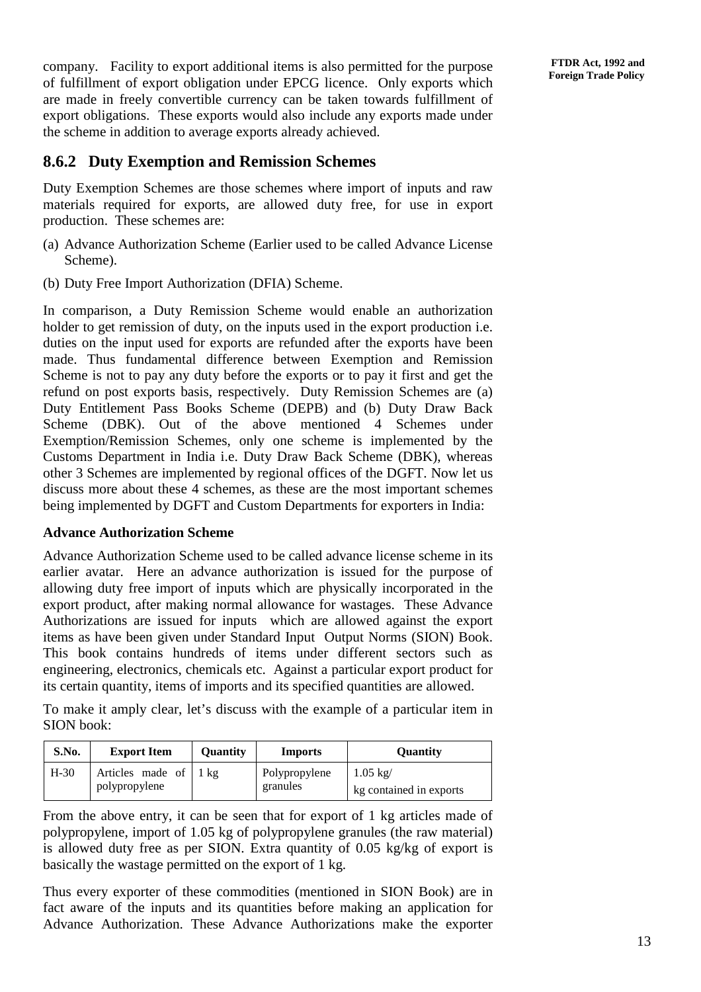company. Facility to export additional items is also permitted for the purpose of fulfillment of export obligation under EPCG licence. Only exports which are made in freely convertible currency can be taken towards fulfillment of export obligations. These exports would also include any exports made under the scheme in addition to average exports already achieved.

#### **8.6.2 Duty Exemption and Remission Schemes**

Duty Exemption Schemes are those schemes where import of inputs and raw materials required for exports, are allowed duty free, for use in export production. These schemes are:

- (a) Advance Authorization Scheme (Earlier used to be called Advance License Scheme).
- (b) Duty Free Import Authorization (DFIA) Scheme.

In comparison, a Duty Remission Scheme would enable an authorization holder to get remission of duty, on the inputs used in the export production i.e. duties on the input used for exports are refunded after the exports have been made. Thus fundamental difference between Exemption and Remission Scheme is not to pay any duty before the exports or to pay it first and get the refund on post exports basis, respectively. Duty Remission Schemes are (a) Duty Entitlement Pass Books Scheme (DEPB) and (b) Duty Draw Back Scheme (DBK). Out of the above mentioned 4 Schemes under Exemption/Remission Schemes, only one scheme is implemented by the Customs Department in India i.e. Duty Draw Back Scheme (DBK), whereas other 3 Schemes are implemented by regional offices of the DGFT. Now let us discuss more about these 4 schemes, as these are the most important schemes being implemented by DGFT and Custom Departments for exporters in India:

#### **Advance Authorization Scheme**

Advance Authorization Scheme used to be called advance license scheme in its earlier avatar. Here an advance authorization is issued for the purpose of allowing duty free import of inputs which are physically incorporated in the export product, after making normal allowance for wastages. These Advance Authorizations are issued for inputs which are allowed against the export items as have been given under Standard Input Output Norms (SION) Book. This book contains hundreds of items under different sectors such as engineering, electronics, chemicals etc. Against a particular export product for its certain quantity, items of imports and its specified quantities are allowed.

To make it amply clear, let's discuss with the example of a particular item in SION book:

| S.No.  | <b>Export Item</b>                | <b>Ouantity</b> | <b>Imports</b>            | <b>Ouantity</b>                              |
|--------|-----------------------------------|-----------------|---------------------------|----------------------------------------------|
| $H-30$ | Articles made of<br>polypropylene | $1 \text{ kg}$  | Polypropylene<br>granules | $1.05 \text{ kg}$<br>kg contained in exports |

From the above entry, it can be seen that for export of 1 kg articles made of polypropylene, import of 1.05 kg of polypropylene granules (the raw material) is allowed duty free as per SION. Extra quantity of 0.05 kg/kg of export is basically the wastage permitted on the export of 1 kg.

Thus every exporter of these commodities (mentioned in SION Book) are in fact aware of the inputs and its quantities before making an application for Advance Authorization. These Advance Authorizations make the exporter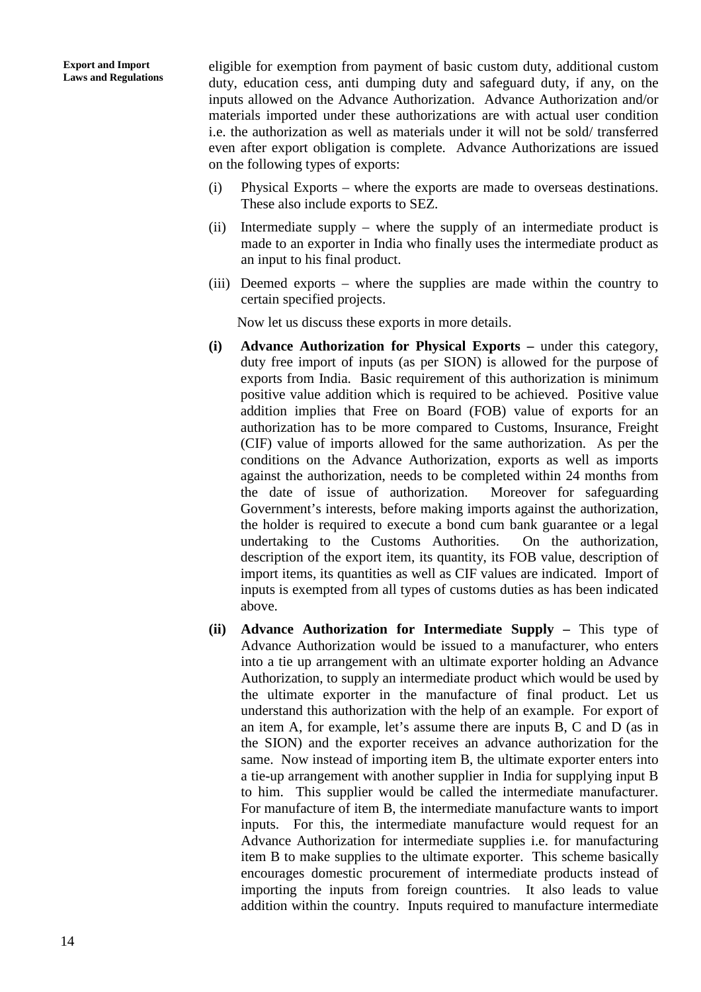eligible for exemption from payment of basic custom duty, additional custom duty, education cess, anti dumping duty and safeguard duty, if any, on the inputs allowed on the Advance Authorization. Advance Authorization and/or materials imported under these authorizations are with actual user condition i.e. the authorization as well as materials under it will not be sold/ transferred even after export obligation is complete. Advance Authorizations are issued on the following types of exports:

- (i) Physical Exports where the exports are made to overseas destinations. These also include exports to SEZ.
- (ii) Intermediate supply where the supply of an intermediate product is made to an exporter in India who finally uses the intermediate product as an input to his final product.
- (iii) Deemed exports where the supplies are made within the country to certain specified projects.

Now let us discuss these exports in more details.

- **(i) Advance Authorization for Physical Exports –** under this category, duty free import of inputs (as per SION) is allowed for the purpose of exports from India. Basic requirement of this authorization is minimum positive value addition which is required to be achieved. Positive value addition implies that Free on Board (FOB) value of exports for an authorization has to be more compared to Customs, Insurance, Freight (CIF) value of imports allowed for the same authorization. As per the conditions on the Advance Authorization, exports as well as imports against the authorization, needs to be completed within 24 months from the date of issue of authorization. Moreover for safeguarding Government's interests, before making imports against the authorization, the holder is required to execute a bond cum bank guarantee or a legal undertaking to the Customs Authorities. On the authorization, description of the export item, its quantity, its FOB value, description of import items, its quantities as well as CIF values are indicated. Import of inputs is exempted from all types of customs duties as has been indicated above.
- **(ii) Advance Authorization for Intermediate Supply –** This type of Advance Authorization would be issued to a manufacturer, who enters into a tie up arrangement with an ultimate exporter holding an Advance Authorization, to supply an intermediate product which would be used by the ultimate exporter in the manufacture of final product. Let us understand this authorization with the help of an example. For export of an item A, for example, let's assume there are inputs B, C and D (as in the SION) and the exporter receives an advance authorization for the same. Now instead of importing item B, the ultimate exporter enters into a tie-up arrangement with another supplier in India for supplying input B to him. This supplier would be called the intermediate manufacturer. For manufacture of item B, the intermediate manufacture wants to import inputs. For this, the intermediate manufacture would request for an Advance Authorization for intermediate supplies i.e. for manufacturing item B to make supplies to the ultimate exporter. This scheme basically encourages domestic procurement of intermediate products instead of importing the inputs from foreign countries. It also leads to value addition within the country. Inputs required to manufacture intermediate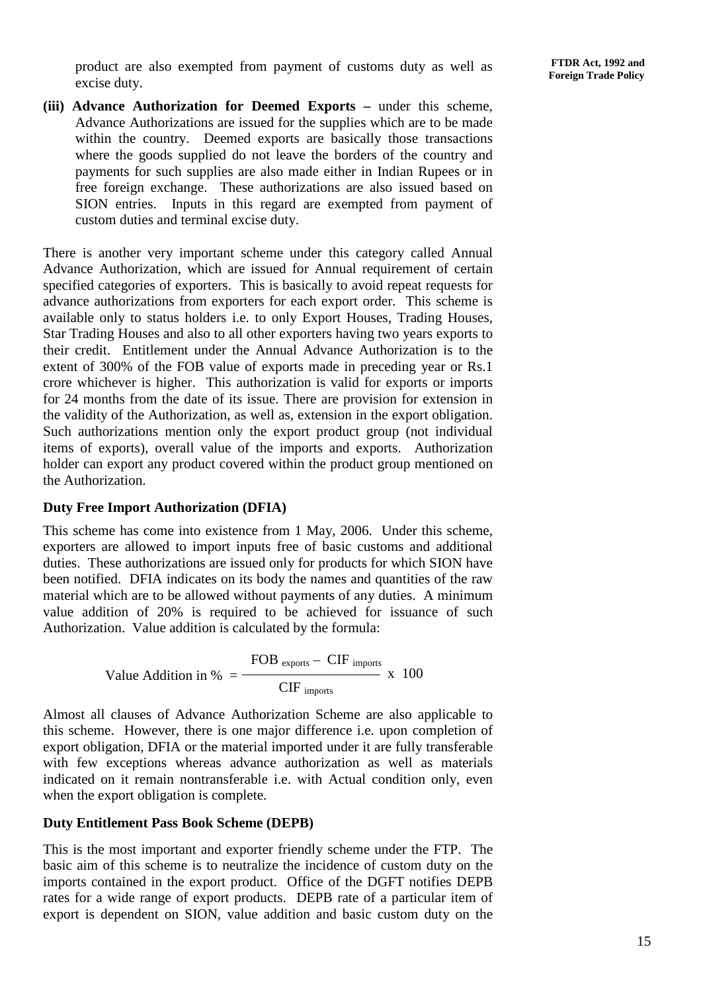product are also exempted from payment of customs duty as well as excise duty.

**(iii) Advance Authorization for Deemed Exports –** under this scheme, Advance Authorizations are issued for the supplies which are to be made within the country. Deemed exports are basically those transactions where the goods supplied do not leave the borders of the country and payments for such supplies are also made either in Indian Rupees or in free foreign exchange. These authorizations are also issued based on SION entries. Inputs in this regard are exempted from payment of custom duties and terminal excise duty.

There is another very important scheme under this category called Annual Advance Authorization, which are issued for Annual requirement of certain specified categories of exporters. This is basically to avoid repeat requests for advance authorizations from exporters for each export order. This scheme is available only to status holders i.e. to only Export Houses, Trading Houses, Star Trading Houses and also to all other exporters having two years exports to their credit. Entitlement under the Annual Advance Authorization is to the extent of 300% of the FOB value of exports made in preceding year or Rs.1 crore whichever is higher. This authorization is valid for exports or imports for 24 months from the date of its issue. There are provision for extension in the validity of the Authorization, as well as, extension in the export obligation. Such authorizations mention only the export product group (not individual items of exports), overall value of the imports and exports. Authorization holder can export any product covered within the product group mentioned on the Authorization.

#### **Duty Free Import Authorization (DFIA)**

This scheme has come into existence from 1 May, 2006. Under this scheme, exporters are allowed to import inputs free of basic customs and additional duties. These authorizations are issued only for products for which SION have been notified. DFIA indicates on its body the names and quantities of the raw material which are to be allowed without payments of any duties. A minimum value addition of 20% is required to be achieved for issuance of such Authorization. Value addition is calculated by the formula:

Value Addition in % = 
$$
\frac{\text{FOB}}{\text{CIF}_{\text{imports}}} - \text{CIF}_{\text{imports}} \times 100
$$

Almost all clauses of Advance Authorization Scheme are also applicable to this scheme. However, there is one major difference i.e. upon completion of export obligation, DFIA or the material imported under it are fully transferable with few exceptions whereas advance authorization as well as materials indicated on it remain nontransferable i.e. with Actual condition only, even when the export obligation is complete.

#### **Duty Entitlement Pass Book Scheme (DEPB)**

This is the most important and exporter friendly scheme under the FTP. The basic aim of this scheme is to neutralize the incidence of custom duty on the imports contained in the export product. Office of the DGFT notifies DEPB rates for a wide range of export products. DEPB rate of a particular item of export is dependent on SION, value addition and basic custom duty on the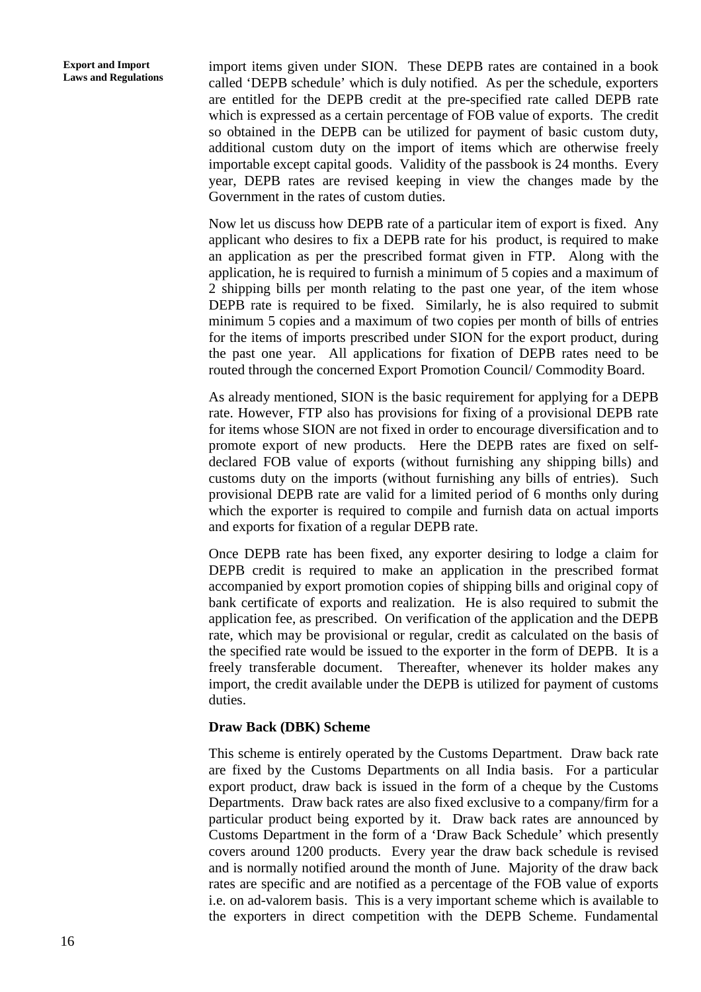import items given under SION. These DEPB rates are contained in a book called 'DEPB schedule' which is duly notified. As per the schedule, exporters are entitled for the DEPB credit at the pre-specified rate called DEPB rate which is expressed as a certain percentage of FOB value of exports. The credit so obtained in the DEPB can be utilized for payment of basic custom duty, additional custom duty on the import of items which are otherwise freely importable except capital goods. Validity of the passbook is 24 months. Every year, DEPB rates are revised keeping in view the changes made by the Government in the rates of custom duties.

Now let us discuss how DEPB rate of a particular item of export is fixed. Any applicant who desires to fix a DEPB rate for his product, is required to make an application as per the prescribed format given in FTP. Along with the application, he is required to furnish a minimum of 5 copies and a maximum of 2 shipping bills per month relating to the past one year, of the item whose DEPB rate is required to be fixed. Similarly, he is also required to submit minimum 5 copies and a maximum of two copies per month of bills of entries for the items of imports prescribed under SION for the export product, during the past one year. All applications for fixation of DEPB rates need to be routed through the concerned Export Promotion Council/ Commodity Board.

As already mentioned, SION is the basic requirement for applying for a DEPB rate. However, FTP also has provisions for fixing of a provisional DEPB rate for items whose SION are not fixed in order to encourage diversification and to promote export of new products. Here the DEPB rates are fixed on selfdeclared FOB value of exports (without furnishing any shipping bills) and customs duty on the imports (without furnishing any bills of entries). Such provisional DEPB rate are valid for a limited period of 6 months only during which the exporter is required to compile and furnish data on actual imports and exports for fixation of a regular DEPB rate.

Once DEPB rate has been fixed, any exporter desiring to lodge a claim for DEPB credit is required to make an application in the prescribed format accompanied by export promotion copies of shipping bills and original copy of bank certificate of exports and realization. He is also required to submit the application fee, as prescribed. On verification of the application and the DEPB rate, which may be provisional or regular, credit as calculated on the basis of the specified rate would be issued to the exporter in the form of DEPB. It is a freely transferable document. Thereafter, whenever its holder makes any import, the credit available under the DEPB is utilized for payment of customs duties.

#### **Draw Back (DBK) Scheme**

This scheme is entirely operated by the Customs Department. Draw back rate are fixed by the Customs Departments on all India basis. For a particular export product, draw back is issued in the form of a cheque by the Customs Departments. Draw back rates are also fixed exclusive to a company/firm for a particular product being exported by it. Draw back rates are announced by Customs Department in the form of a 'Draw Back Schedule' which presently covers around 1200 products. Every year the draw back schedule is revised and is normally notified around the month of June. Majority of the draw back rates are specific and are notified as a percentage of the FOB value of exports i.e. on ad-valorem basis. This is a very important scheme which is available to the exporters in direct competition with the DEPB Scheme. Fundamental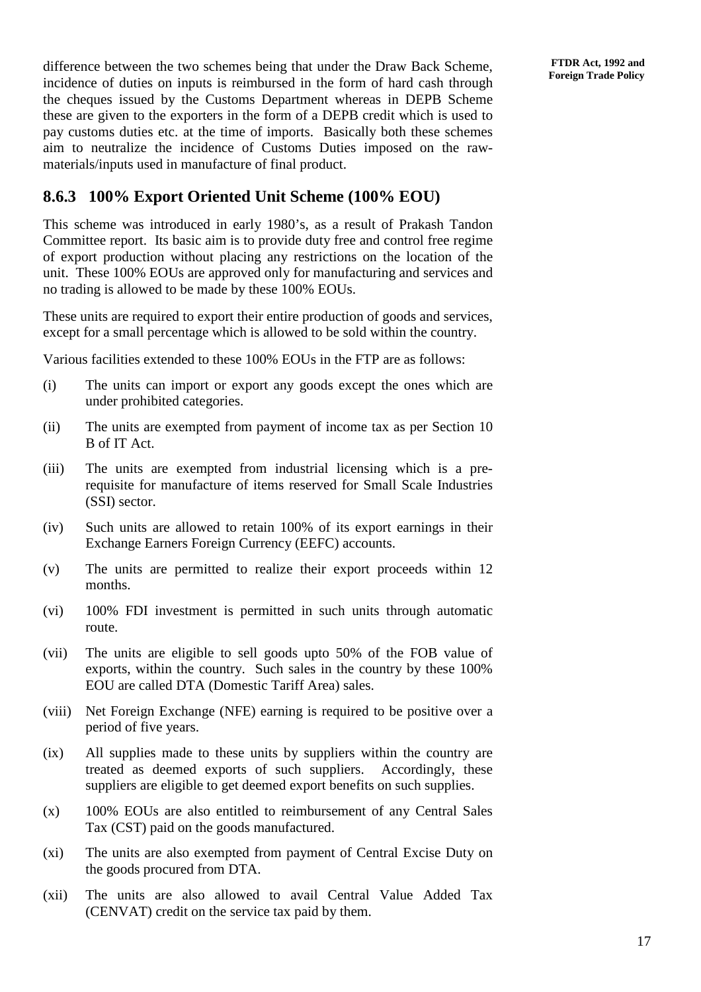difference between the two schemes being that under the Draw Back Scheme, incidence of duties on inputs is reimbursed in the form of hard cash through the cheques issued by the Customs Department whereas in DEPB Scheme these are given to the exporters in the form of a DEPB credit which is used to pay customs duties etc. at the time of imports. Basically both these schemes aim to neutralize the incidence of Customs Duties imposed on the rawmaterials/inputs used in manufacture of final product.

#### **8.6.3 100% Export Oriented Unit Scheme (100% EOU)**

This scheme was introduced in early 1980's, as a result of Prakash Tandon Committee report. Its basic aim is to provide duty free and control free regime of export production without placing any restrictions on the location of the unit. These 100% EOUs are approved only for manufacturing and services and no trading is allowed to be made by these 100% EOUs.

These units are required to export their entire production of goods and services, except for a small percentage which is allowed to be sold within the country.

Various facilities extended to these 100% EOUs in the FTP are as follows:

- (i) The units can import or export any goods except the ones which are under prohibited categories.
- (ii) The units are exempted from payment of income tax as per Section 10 B of IT Act.
- (iii) The units are exempted from industrial licensing which is a prerequisite for manufacture of items reserved for Small Scale Industries (SSI) sector.
- (iv) Such units are allowed to retain 100% of its export earnings in their Exchange Earners Foreign Currency (EEFC) accounts.
- (v) The units are permitted to realize their export proceeds within 12 months.
- (vi) 100% FDI investment is permitted in such units through automatic route.
- (vii) The units are eligible to sell goods upto 50% of the FOB value of exports, within the country. Such sales in the country by these 100% EOU are called DTA (Domestic Tariff Area) sales.
- (viii) Net Foreign Exchange (NFE) earning is required to be positive over a period of five years.
- (ix) All supplies made to these units by suppliers within the country are treated as deemed exports of such suppliers. Accordingly, these suppliers are eligible to get deemed export benefits on such supplies.
- (x) 100% EOUs are also entitled to reimbursement of any Central Sales Tax (CST) paid on the goods manufactured.
- (xi) The units are also exempted from payment of Central Excise Duty on the goods procured from DTA.
- (xii) The units are also allowed to avail Central Value Added Tax (CENVAT) credit on the service tax paid by them.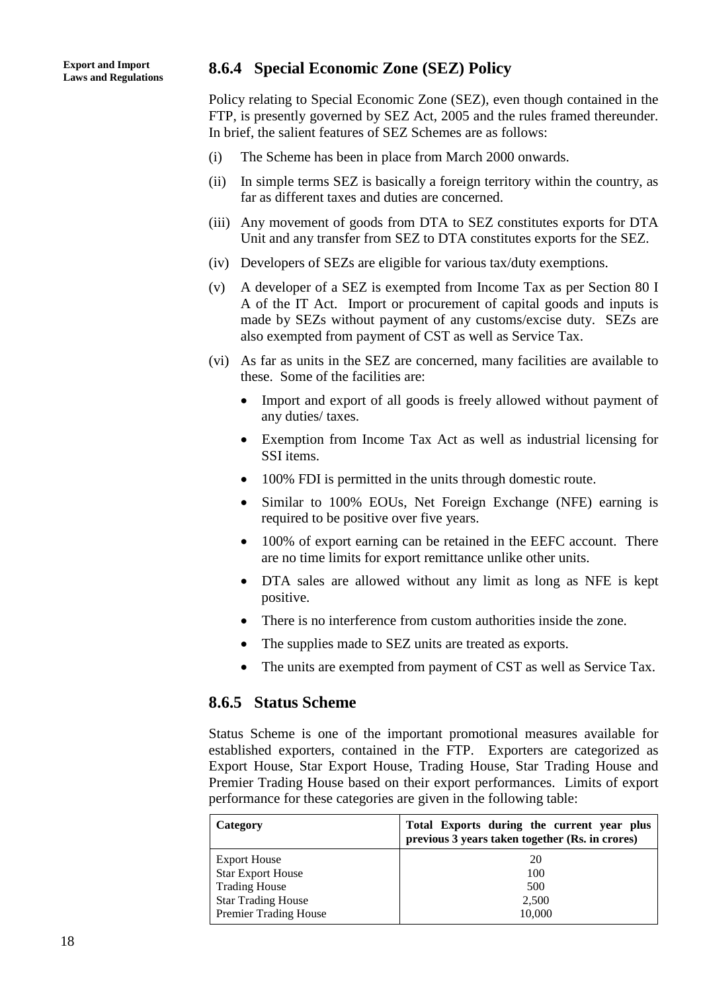## **Laws and Regulations 8.6.4 Special Economic Zone (SEZ) Policy**

Policy relating to Special Economic Zone (SEZ), even though contained in the FTP, is presently governed by SEZ Act, 2005 and the rules framed thereunder. In brief, the salient features of SEZ Schemes are as follows:

- (i) The Scheme has been in place from March 2000 onwards.
- (ii) In simple terms SEZ is basically a foreign territory within the country, as far as different taxes and duties are concerned.
- (iii) Any movement of goods from DTA to SEZ constitutes exports for DTA Unit and any transfer from SEZ to DTA constitutes exports for the SEZ.
- (iv) Developers of SEZs are eligible for various tax/duty exemptions.
- (v) A developer of a SEZ is exempted from Income Tax as per Section 80 I A of the IT Act. Import or procurement of capital goods and inputs is made by SEZs without payment of any customs/excise duty. SEZs are also exempted from payment of CST as well as Service Tax.
- (vi) As far as units in the SEZ are concerned, many facilities are available to these. Some of the facilities are:
	- Import and export of all goods is freely allowed without payment of any duties/ taxes.
	- Exemption from Income Tax Act as well as industrial licensing for SSI items.
	- 100% FDI is permitted in the units through domestic route.
	- Similar to 100% EOUs, Net Foreign Exchange (NFE) earning is required to be positive over five years.
	- 100% of export earning can be retained in the EEFC account. There are no time limits for export remittance unlike other units.
	- DTA sales are allowed without any limit as long as NFE is kept positive.
	- There is no interference from custom authorities inside the zone.
	- The supplies made to SEZ units are treated as exports.
	- The units are exempted from payment of CST as well as Service Tax.

#### **8.6.5 Status Scheme**

Status Scheme is one of the important promotional measures available for established exporters, contained in the FTP. Exporters are categorized as Export House, Star Export House, Trading House, Star Trading House and Premier Trading House based on their export performances. Limits of export performance for these categories are given in the following table:

| Category                     | Total Exports during the current year plus<br>previous 3 years taken together (Rs. in crores) |
|------------------------------|-----------------------------------------------------------------------------------------------|
| <b>Export House</b>          | 20                                                                                            |
| <b>Star Export House</b>     | 100                                                                                           |
| <b>Trading House</b>         | 500                                                                                           |
| <b>Star Trading House</b>    | 2,500                                                                                         |
| <b>Premier Trading House</b> | 10,000                                                                                        |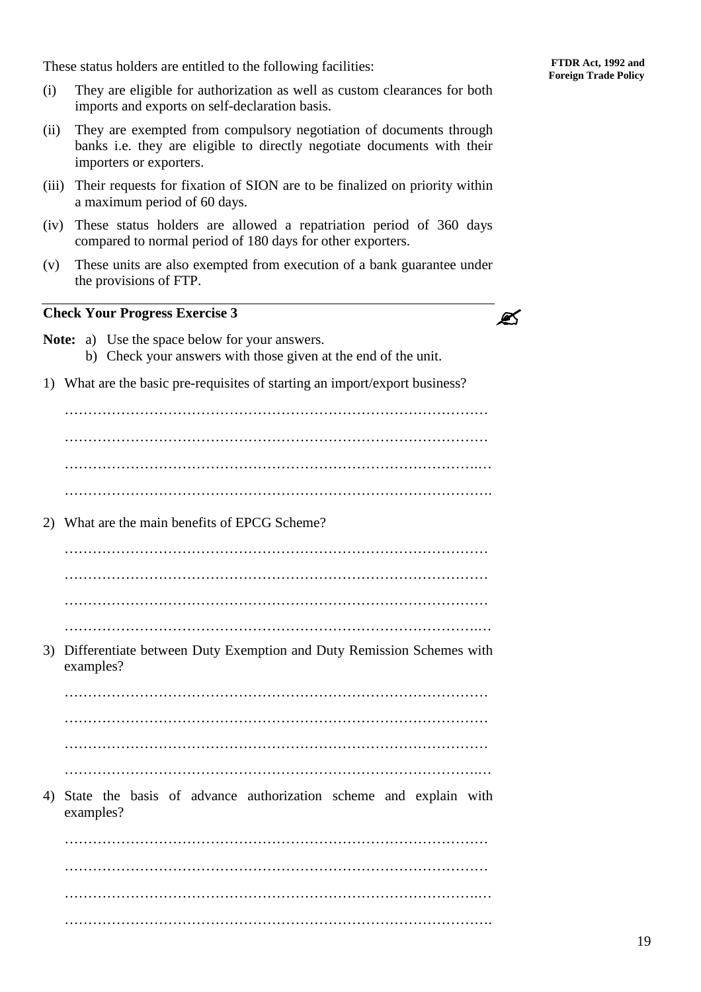These status holders are entitled to the following facilities:

- (i) They are eligible for authorization as well as custom clearances for both imports and exports on self-declaration basis.
- (ii) They are exempted from compulsory negotiation of documents through banks i.e. they are eligible to directly negotiate documents with their importers or exporters.
- (iii) Their requests for fixation of SION are to be finalized on priority within a maximum period of 60 days.
- (iv) These status holders are allowed a repatriation period of 360 days compared to normal period of 180 days for other exporters.
- (v) These units are also exempted from execution of a bank guarantee under the provisions of FTP.

#### **Check Your Progress Exercise 3**

| P |  |
|---|--|
|   |  |

- **Note:** a) Use the space below for your answers. b) Check your answers with those given at the end of the unit.
- 1) What are the basic pre-requisites of starting an import/export business?

| 2) What are the main benefits of EPCG Scheme?                           |
|-------------------------------------------------------------------------|
|                                                                         |
|                                                                         |
|                                                                         |
|                                                                         |
| 3) Differentiate between Duty Exemption and Duty Remission Schemes with |

examples?

……………………………………………………………………………… ……………………………………………………………………………… ……………………………………………………………………………… …………………………………………………………………………….…

4) State the basis of advance authorization scheme and explain with examples?

……………………………………………………………………………… ……………………………………………………………………………… …………………………………………………………………………….… ……………………………………………………………………………….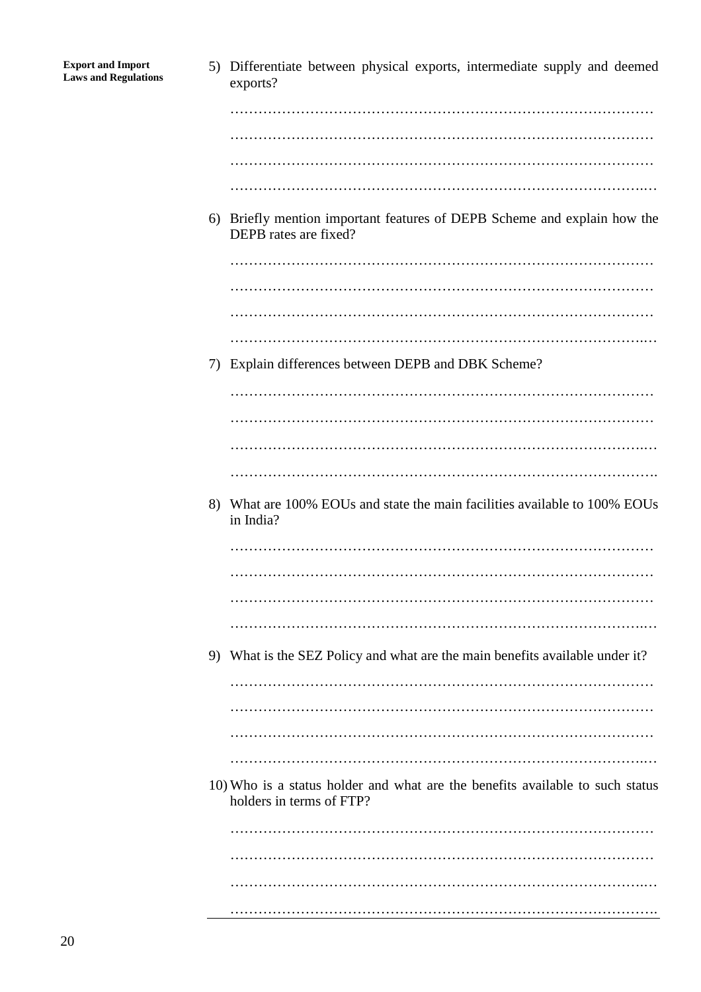| <b>Export and Import</b><br><b>Laws and Regulations</b> |    | 5) Differentiate between physical exports, intermediate supply and deemed<br>exports?                     |
|---------------------------------------------------------|----|-----------------------------------------------------------------------------------------------------------|
|                                                         |    |                                                                                                           |
|                                                         |    |                                                                                                           |
|                                                         |    |                                                                                                           |
|                                                         |    |                                                                                                           |
|                                                         |    |                                                                                                           |
|                                                         |    | 6) Briefly mention important features of DEPB Scheme and explain how the<br>DEPB rates are fixed?         |
|                                                         |    |                                                                                                           |
|                                                         |    |                                                                                                           |
|                                                         |    |                                                                                                           |
|                                                         |    |                                                                                                           |
|                                                         | 7) | Explain differences between DEPB and DBK Scheme?                                                          |
|                                                         |    |                                                                                                           |
|                                                         |    |                                                                                                           |
|                                                         |    |                                                                                                           |
|                                                         |    |                                                                                                           |
|                                                         | 8) | What are 100% EOUs and state the main facilities available to 100% EOUs<br>in India?                      |
|                                                         |    |                                                                                                           |
|                                                         |    |                                                                                                           |
|                                                         |    |                                                                                                           |
|                                                         |    |                                                                                                           |
|                                                         |    |                                                                                                           |
|                                                         |    | 9) What is the SEZ Policy and what are the main benefits available under it?                              |
|                                                         |    |                                                                                                           |
|                                                         |    |                                                                                                           |
|                                                         |    |                                                                                                           |
|                                                         |    |                                                                                                           |
|                                                         |    | 10) Who is a status holder and what are the benefits available to such status<br>holders in terms of FTP? |
|                                                         |    |                                                                                                           |
|                                                         |    |                                                                                                           |
|                                                         |    |                                                                                                           |
|                                                         |    |                                                                                                           |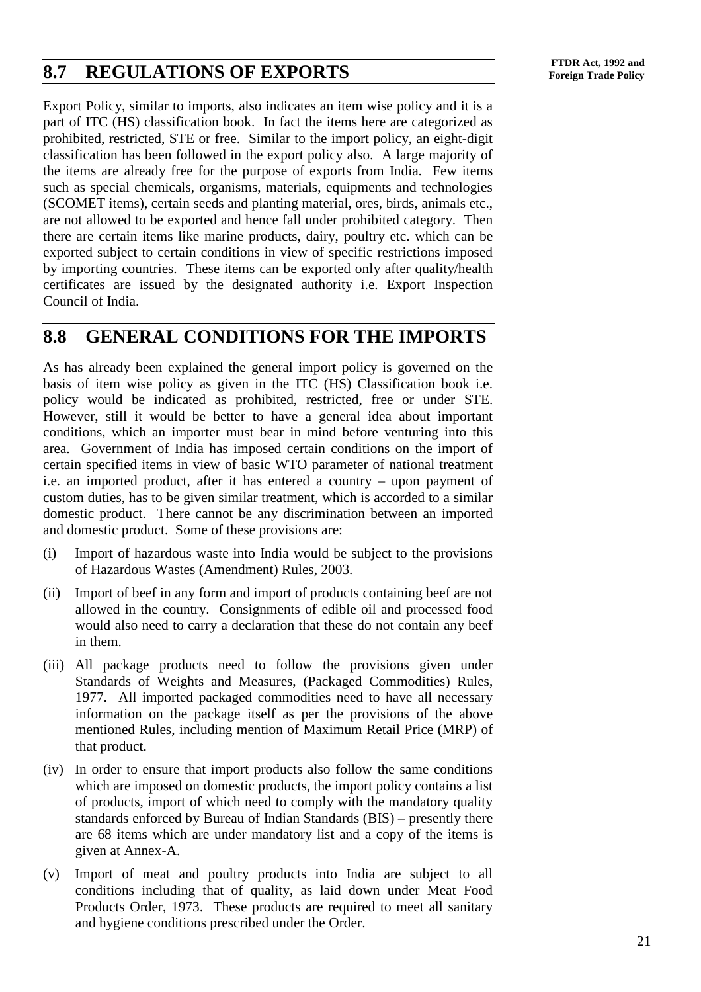## **FTDR Act, 1992 and**<br> **FTDR Act, 1992 and**<br> **Foreign Trade Policy**

Export Policy, similar to imports, also indicates an item wise policy and it is a part of ITC (HS) classification book. In fact the items here are categorized as prohibited, restricted, STE or free. Similar to the import policy, an eight-digit classification has been followed in the export policy also. A large majority of the items are already free for the purpose of exports from India. Few items such as special chemicals, organisms, materials, equipments and technologies (SCOMET items), certain seeds and planting material, ores, birds, animals etc., are not allowed to be exported and hence fall under prohibited category. Then there are certain items like marine products, dairy, poultry etc. which can be exported subject to certain conditions in view of specific restrictions imposed by importing countries. These items can be exported only after quality/health certificates are issued by the designated authority i.e. Export Inspection Council of India.

### **8.8 GENERAL CONDITIONS FOR THE IMPORTS**

As has already been explained the general import policy is governed on the basis of item wise policy as given in the ITC (HS) Classification book i.e. policy would be indicated as prohibited, restricted, free or under STE. However, still it would be better to have a general idea about important conditions, which an importer must bear in mind before venturing into this area. Government of India has imposed certain conditions on the import of certain specified items in view of basic WTO parameter of national treatment i.e. an imported product, after it has entered a country – upon payment of custom duties, has to be given similar treatment, which is accorded to a similar domestic product. There cannot be any discrimination between an imported and domestic product. Some of these provisions are:

- (i) Import of hazardous waste into India would be subject to the provisions of Hazardous Wastes (Amendment) Rules, 2003.
- (ii) Import of beef in any form and import of products containing beef are not allowed in the country. Consignments of edible oil and processed food would also need to carry a declaration that these do not contain any beef in them.
- (iii) All package products need to follow the provisions given under Standards of Weights and Measures, (Packaged Commodities) Rules, 1977. All imported packaged commodities need to have all necessary information on the package itself as per the provisions of the above mentioned Rules, including mention of Maximum Retail Price (MRP) of that product.
- (iv) In order to ensure that import products also follow the same conditions which are imposed on domestic products, the import policy contains a list of products, import of which need to comply with the mandatory quality standards enforced by Bureau of Indian Standards (BIS) – presently there are 68 items which are under mandatory list and a copy of the items is given at Annex-A.
- (v) Import of meat and poultry products into India are subject to all conditions including that of quality, as laid down under Meat Food Products Order, 1973. These products are required to meet all sanitary and hygiene conditions prescribed under the Order.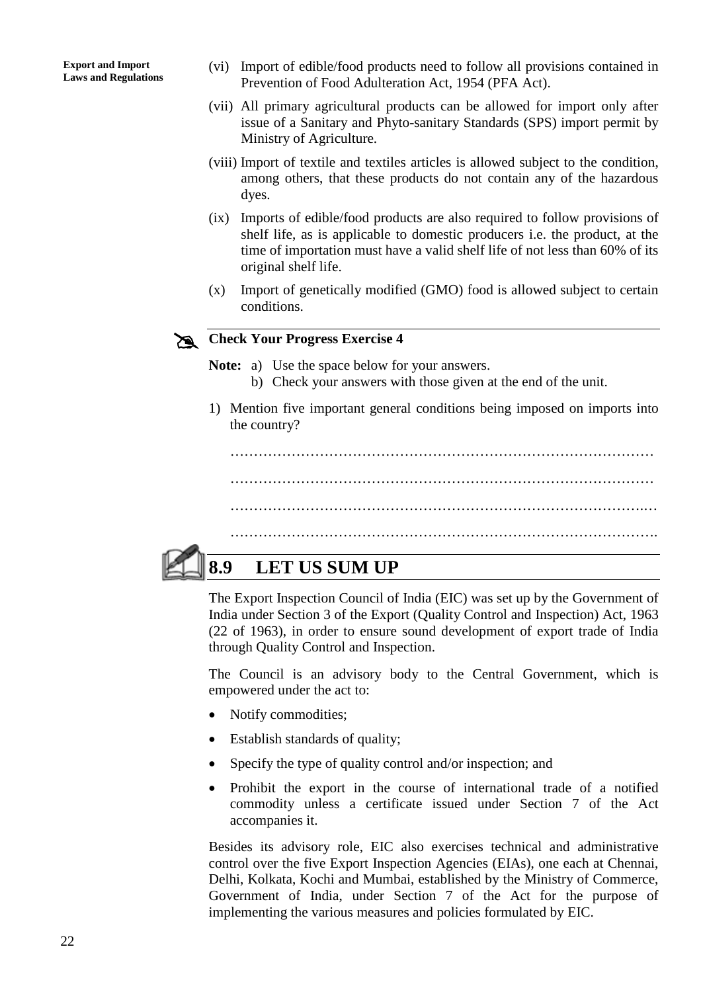- (vi) Import of edible/food products need to follow all provisions contained in Prevention of Food Adulteration Act, 1954 (PFA Act).
- (vii) All primary agricultural products can be allowed for import only after issue of a Sanitary and Phyto-sanitary Standards (SPS) import permit by Ministry of Agriculture.
- (viii) Import of textile and textiles articles is allowed subject to the condition, among others, that these products do not contain any of the hazardous dyes.
- (ix) Imports of edible/food products are also required to follow provisions of shelf life, as is applicable to domestic producers i.e. the product, at the time of importation must have a valid shelf life of not less than 60% of its original shelf life.
- (x) Import of genetically modified (GMO) food is allowed subject to certain conditions.

# **Check Your Progress Exercise 4**

**Note:** a) Use the space below for your answers.

- b) Check your answers with those given at the end of the unit.
- 1) Mention five important general conditions being imposed on imports into the country?

……………………………………………………………………………… ……………………………………………………………………………… …………………………………………………………………………….…

……………………………………………………………………………….



## **8.9 LET US SUM UP**

The Export Inspection Council of India (EIC) was set up by the Government of India under Section 3 of the Export (Quality Control and Inspection) Act, 1963 (22 of 1963), in order to ensure sound development of export trade of India through Quality Control and Inspection.

The Council is an advisory body to the Central Government, which is empowered under the act to:

- Notify commodities;
- Establish standards of quality;
- Specify the type of quality control and/or inspection; and
- Prohibit the export in the course of international trade of a notified commodity unless a certificate issued under Section 7 of the Act accompanies it.

Besides its advisory role, EIC also exercises technical and administrative control over the five Export Inspection Agencies (EIAs), one each at Chennai, Delhi, Kolkata, Kochi and Mumbai, established by the Ministry of Commerce, Government of India, under Section 7 of the Act for the purpose of implementing the various measures and policies formulated by EIC.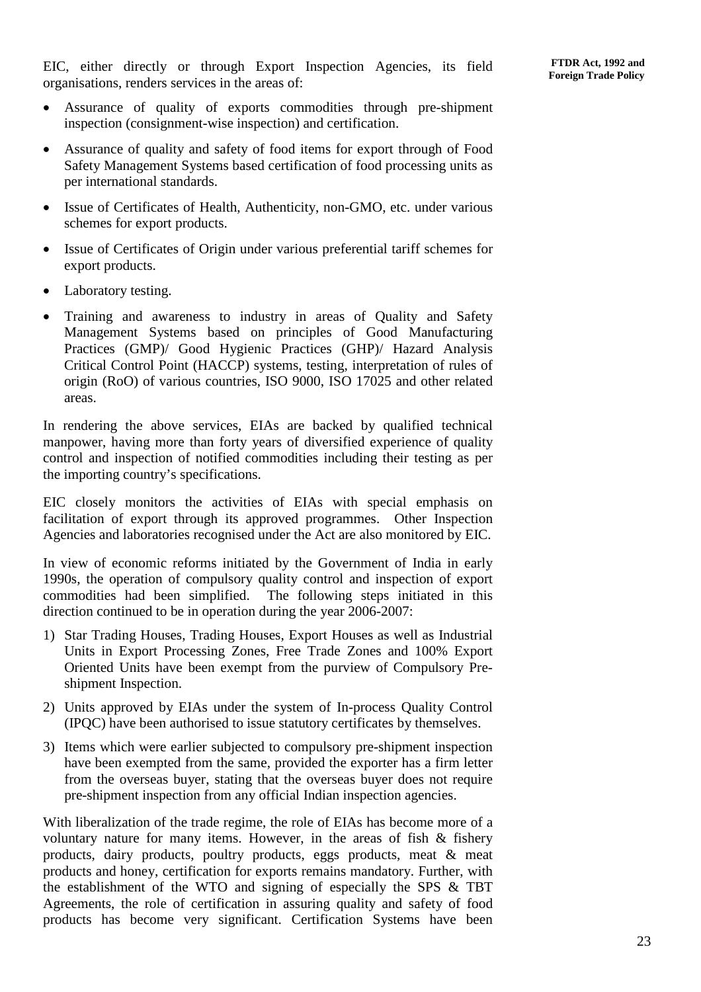EIC, either directly or through Export Inspection Agencies, its field organisations, renders services in the areas of:

- Assurance of quality of exports commodities through pre-shipment inspection (consignment-wise inspection) and certification.
- Assurance of quality and safety of food items for export through of Food Safety Management Systems based certification of food processing units as per international standards.
- Issue of Certificates of Health, Authenticity, non-GMO, etc. under various schemes for export products.
- Issue of Certificates of Origin under various preferential tariff schemes for export products.
- Laboratory testing.
- Training and awareness to industry in areas of Quality and Safety Management Systems based on principles of Good Manufacturing Practices (GMP)/ Good Hygienic Practices (GHP)/ Hazard Analysis Critical Control Point (HACCP) systems, testing, interpretation of rules of origin (RoO) of various countries, ISO 9000, ISO 17025 and other related areas.

In rendering the above services, EIAs are backed by qualified technical manpower, having more than forty years of diversified experience of quality control and inspection of notified commodities including their testing as per the importing country's specifications.

EIC closely monitors the activities of EIAs with special emphasis on facilitation of export through its approved programmes. Other Inspection Agencies and laboratories recognised under the Act are also monitored by EIC.

In view of economic reforms initiated by the Government of India in early 1990s, the operation of compulsory quality control and inspection of export commodities had been simplified. The following steps initiated in this direction continued to be in operation during the year 2006-2007:

- 1) Star Trading Houses, Trading Houses, Export Houses as well as Industrial Units in Export Processing Zones, Free Trade Zones and 100% Export Oriented Units have been exempt from the purview of Compulsory Preshipment Inspection.
- 2) Units approved by EIAs under the system of In-process Quality Control (IPQC) have been authorised to issue statutory certificates by themselves.
- 3) Items which were earlier subjected to compulsory pre-shipment inspection have been exempted from the same, provided the exporter has a firm letter from the overseas buyer, stating that the overseas buyer does not require pre-shipment inspection from any official Indian inspection agencies.

With liberalization of the trade regime, the role of EIAs has become more of a voluntary nature for many items. However, in the areas of fish & fishery products, dairy products, poultry products, eggs products, meat & meat products and honey, certification for exports remains mandatory. Further, with the establishment of the WTO and signing of especially the SPS & TBT Agreements, the role of certification in assuring quality and safety of food products has become very significant. Certification Systems have been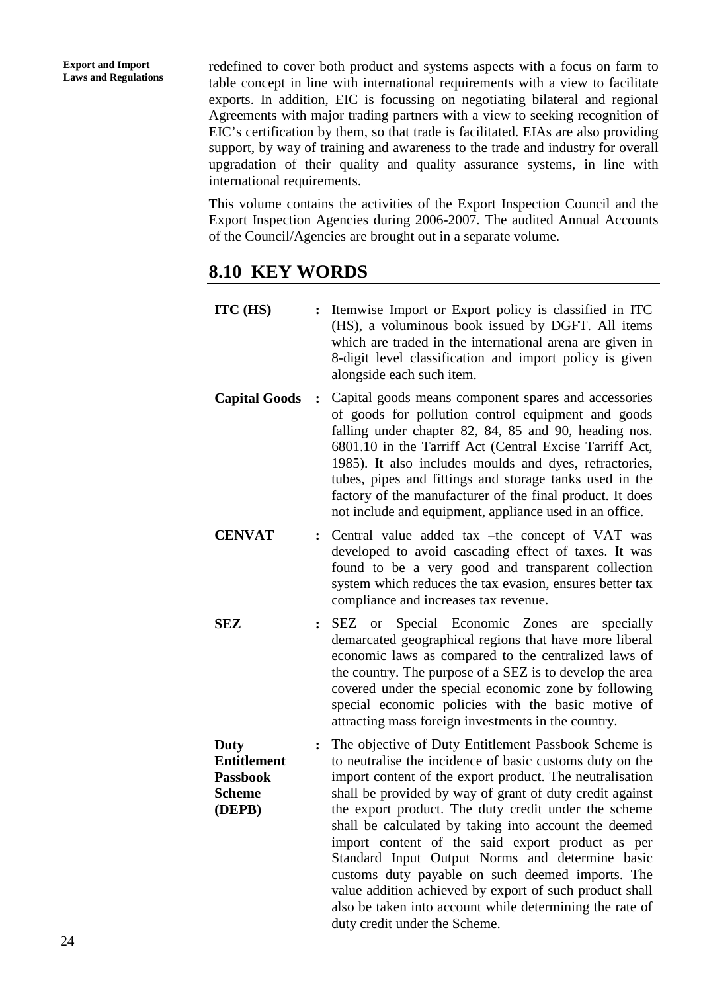redefined to cover both product and systems aspects with a focus on farm to table concept in line with international requirements with a view to facilitate exports. In addition, EIC is focussing on negotiating bilateral and regional Agreements with major trading partners with a view to seeking recognition of EIC's certification by them, so that trade is facilitated. EIAs are also providing support, by way of training and awareness to the trade and industry for overall upgradation of their quality and quality assurance systems, in line with international requirements.

This volume contains the activities of the Export Inspection Council and the Export Inspection Agencies during 2006-2007. The audited Annual Accounts of the Council/Agencies are brought out in a separate volume.

## **8.10 KEY WORDS**

| ITC (HS)                                                                        | $\ddot{\cdot}$ | Itemwise Import or Export policy is classified in ITC<br>(HS), a voluminous book issued by DGFT. All items<br>which are traded in the international arena are given in<br>8-digit level classification and import policy is given<br>alongside each such item.                                                                                                                                                                                                              |
|---------------------------------------------------------------------------------|----------------|-----------------------------------------------------------------------------------------------------------------------------------------------------------------------------------------------------------------------------------------------------------------------------------------------------------------------------------------------------------------------------------------------------------------------------------------------------------------------------|
| <b>Capital Goods</b>                                                            | $\ddot{\cdot}$ | Capital goods means component spares and accessories<br>of goods for pollution control equipment and goods<br>falling under chapter 82, 84, 85 and 90, heading nos.<br>6801.10 in the Tarriff Act (Central Excise Tarriff Act,<br>1985). It also includes moulds and dyes, refractories,<br>tubes, pipes and fittings and storage tanks used in the<br>factory of the manufacturer of the final product. It does<br>not include and equipment, appliance used in an office. |
| <b>CENVAT</b>                                                                   | $\ddot{\cdot}$ | Central value added tax -the concept of VAT was<br>developed to avoid cascading effect of taxes. It was<br>found to be a very good and transparent collection<br>system which reduces the tax evasion, ensures better tax<br>compliance and increases tax revenue.                                                                                                                                                                                                          |
| SEZ                                                                             | $\ddot{\cdot}$ | SEZ or Special Economic Zones<br>are<br>specially<br>demarcated geographical regions that have more liberal<br>economic laws as compared to the centralized laws of<br>the country. The purpose of a SEZ is to develop the area<br>covered under the special economic zone by following<br>special economic policies with the basic motive of<br>attracting mass foreign investments in the country.                                                                        |
| <b>Duty</b><br><b>Entitlement</b><br><b>Passbook</b><br><b>Scheme</b><br>(DEPB) | $\ddot{\cdot}$ | The objective of Duty Entitlement Passbook Scheme is<br>to neutralise the incidence of basic customs duty on the<br>import content of the export product. The neutralisation<br>shall be provided by way of grant of duty credit against<br>the export product. The duty credit under the scheme<br>shall be calculated by taking into account the deemed<br>import content of the said export product as per<br>Standard Input Output Norms and determine basic            |

duty credit under the Scheme.

customs duty payable on such deemed imports. The value addition achieved by export of such product shall also be taken into account while determining the rate of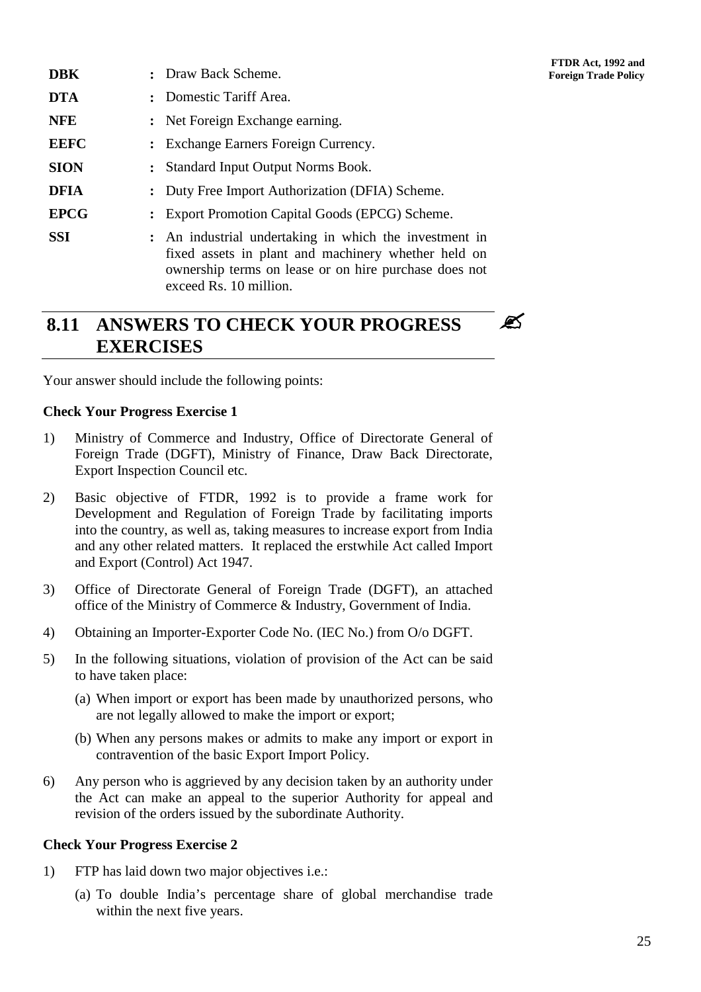- **DBK :** Draw Back Scheme. **Foreign Trade Policy DTA :** Domestic Tariff Area. **NFE :** Net Foreign Exchange earning. **EEFC :** Exchange Earners Foreign Currency. **SION :** Standard Input Output Norms Book. **DFIA :** Duty Free Import Authorization (DFIA) Scheme. **EPCG :** Export Promotion Capital Goods (EPCG) Scheme. **SSI :** An industrial undertaking in which the investment in
	- fixed assets in plant and machinery whether held on ownership terms on lease or on hire purchase does not exceed Rs. 10 million.

#### **8.11 ANSWERS TO CHECK YOUR PROGRESS EXERCISES** Ø

Your answer should include the following points:

#### **Check Your Progress Exercise 1**

- 1) Ministry of Commerce and Industry, Office of Directorate General of Foreign Trade (DGFT), Ministry of Finance, Draw Back Directorate, Export Inspection Council etc.
- 2) Basic objective of FTDR, 1992 is to provide a frame work for Development and Regulation of Foreign Trade by facilitating imports into the country, as well as, taking measures to increase export from India and any other related matters. It replaced the erstwhile Act called Import and Export (Control) Act 1947.
- 3) Office of Directorate General of Foreign Trade (DGFT), an attached office of the Ministry of Commerce & Industry, Government of India.
- 4) Obtaining an Importer-Exporter Code No. (IEC No.) from O/o DGFT.
- 5) In the following situations, violation of provision of the Act can be said to have taken place:
	- (a) When import or export has been made by unauthorized persons, who are not legally allowed to make the import or export;
	- (b) When any persons makes or admits to make any import or export in contravention of the basic Export Import Policy.
- 6) Any person who is aggrieved by any decision taken by an authority under the Act can make an appeal to the superior Authority for appeal and revision of the orders issued by the subordinate Authority.

#### **Check Your Progress Exercise 2**

- 1) FTP has laid down two major objectives i.e.:
	- (a) To double India's percentage share of global merchandise trade within the next five years.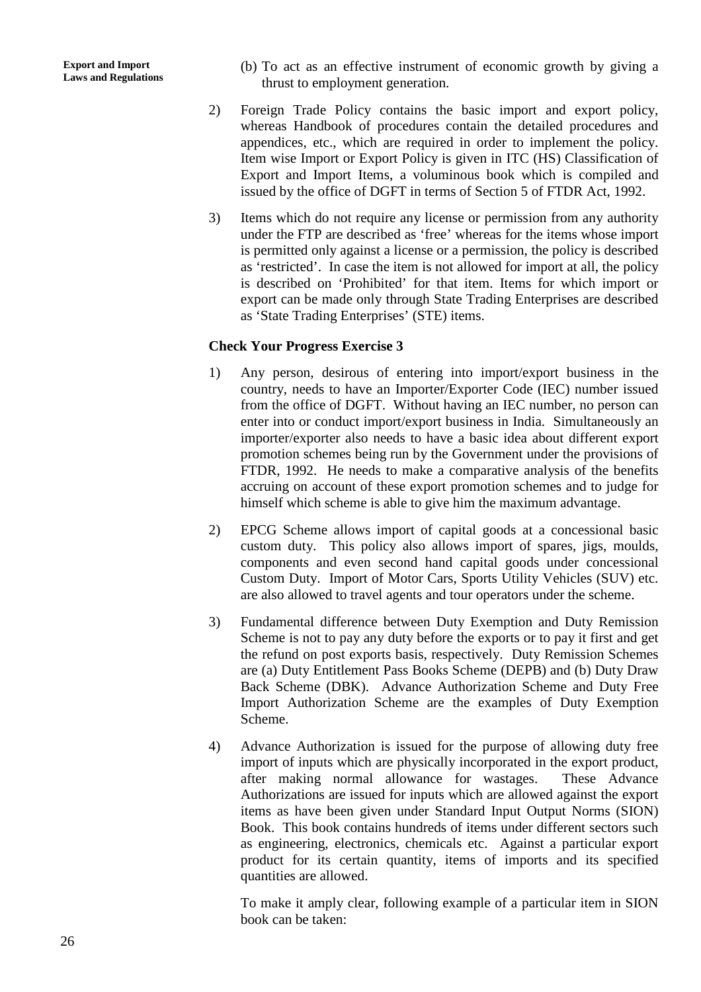- (b) To act as an effective instrument of economic growth by giving a thrust to employment generation.
- 2) Foreign Trade Policy contains the basic import and export policy, whereas Handbook of procedures contain the detailed procedures and appendices, etc., which are required in order to implement the policy. Item wise Import or Export Policy is given in ITC (HS) Classification of Export and Import Items, a voluminous book which is compiled and issued by the office of DGFT in terms of Section 5 of FTDR Act, 1992.
- 3) Items which do not require any license or permission from any authority under the FTP are described as 'free' whereas for the items whose import is permitted only against a license or a permission, the policy is described as 'restricted'. In case the item is not allowed for import at all, the policy is described on 'Prohibited' for that item. Items for which import or export can be made only through State Trading Enterprises are described as 'State Trading Enterprises' (STE) items.

#### **Check Your Progress Exercise 3**

- 1) Any person, desirous of entering into import/export business in the country, needs to have an Importer/Exporter Code (IEC) number issued from the office of DGFT. Without having an IEC number, no person can enter into or conduct import/export business in India. Simultaneously an importer/exporter also needs to have a basic idea about different export promotion schemes being run by the Government under the provisions of FTDR, 1992. He needs to make a comparative analysis of the benefits accruing on account of these export promotion schemes and to judge for himself which scheme is able to give him the maximum advantage.
- 2) EPCG Scheme allows import of capital goods at a concessional basic custom duty. This policy also allows import of spares, jigs, moulds, components and even second hand capital goods under concessional Custom Duty. Import of Motor Cars, Sports Utility Vehicles (SUV) etc. are also allowed to travel agents and tour operators under the scheme.
- 3) Fundamental difference between Duty Exemption and Duty Remission Scheme is not to pay any duty before the exports or to pay it first and get the refund on post exports basis, respectively. Duty Remission Schemes are (a) Duty Entitlement Pass Books Scheme (DEPB) and (b) Duty Draw Back Scheme (DBK). Advance Authorization Scheme and Duty Free Import Authorization Scheme are the examples of Duty Exemption Scheme.
- 4) Advance Authorization is issued for the purpose of allowing duty free import of inputs which are physically incorporated in the export product, after making normal allowance for wastages. These Advance Authorizations are issued for inputs which are allowed against the export items as have been given under Standard Input Output Norms (SION) Book. This book contains hundreds of items under different sectors such as engineering, electronics, chemicals etc. Against a particular export product for its certain quantity, items of imports and its specified quantities are allowed.

To make it amply clear, following example of a particular item in SION book can be taken: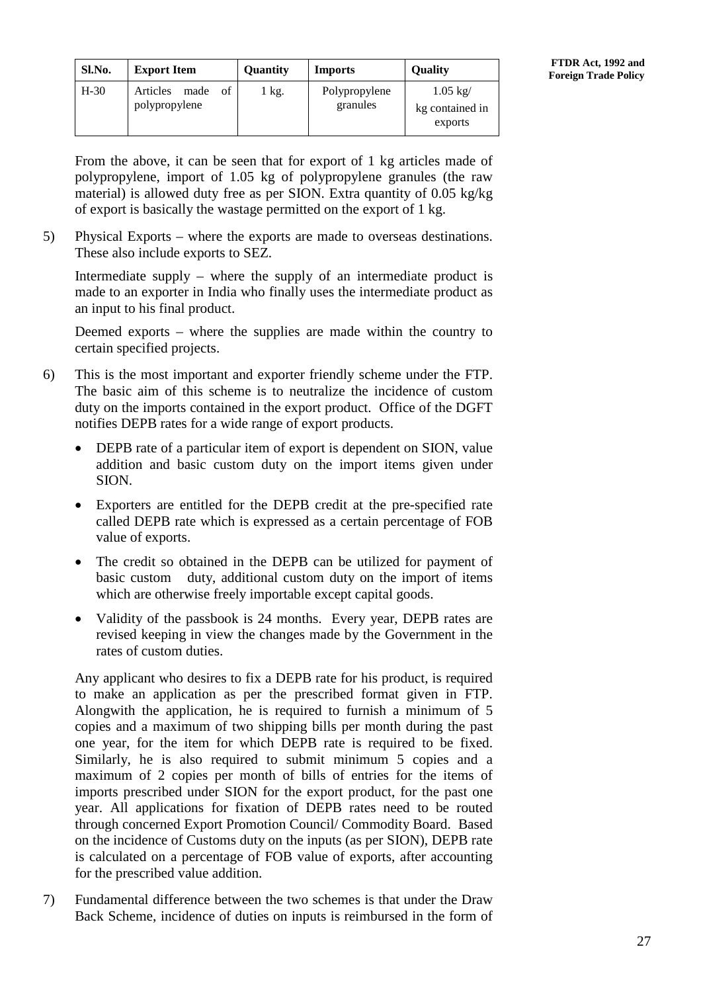| Sl.No. | <b>Export Item</b>                      | <b>Ouantity</b> | <b>Imports</b>            | <b>Ouality</b>                                  |
|--------|-----------------------------------------|-----------------|---------------------------|-------------------------------------------------|
| $H-30$ | Articles<br>of<br>made<br>polypropylene | kg.             | Polypropylene<br>granules | $1.05 \text{ kg}$<br>kg contained in<br>exports |

From the above, it can be seen that for export of 1 kg articles made of polypropylene, import of 1.05 kg of polypropylene granules (the raw material) is allowed duty free as per SION. Extra quantity of 0.05 kg/kg of export is basically the wastage permitted on the export of 1 kg.

5) Physical Exports – where the exports are made to overseas destinations. These also include exports to SEZ.

Intermediate supply – where the supply of an intermediate product is made to an exporter in India who finally uses the intermediate product as an input to his final product.

Deemed exports – where the supplies are made within the country to certain specified projects.

- 6) This is the most important and exporter friendly scheme under the FTP. The basic aim of this scheme is to neutralize the incidence of custom duty on the imports contained in the export product. Office of the DGFT notifies DEPB rates for a wide range of export products.
	- DEPB rate of a particular item of export is dependent on SION, value addition and basic custom duty on the import items given under SION.
	- Exporters are entitled for the DEPB credit at the pre-specified rate called DEPB rate which is expressed as a certain percentage of FOB value of exports.
	- The credit so obtained in the DEPB can be utilized for payment of basic custom duty, additional custom duty on the import of items which are otherwise freely importable except capital goods.
	- Validity of the passbook is 24 months. Every year, DEPB rates are revised keeping in view the changes made by the Government in the rates of custom duties.

Any applicant who desires to fix a DEPB rate for his product, is required to make an application as per the prescribed format given in FTP. Alongwith the application, he is required to furnish a minimum of 5 copies and a maximum of two shipping bills per month during the past one year, for the item for which DEPB rate is required to be fixed. Similarly, he is also required to submit minimum 5 copies and a maximum of 2 copies per month of bills of entries for the items of imports prescribed under SION for the export product, for the past one year. All applications for fixation of DEPB rates need to be routed through concerned Export Promotion Council/ Commodity Board. Based on the incidence of Customs duty on the inputs (as per SION), DEPB rate is calculated on a percentage of FOB value of exports, after accounting for the prescribed value addition.

7) Fundamental difference between the two schemes is that under the Draw Back Scheme, incidence of duties on inputs is reimbursed in the form of